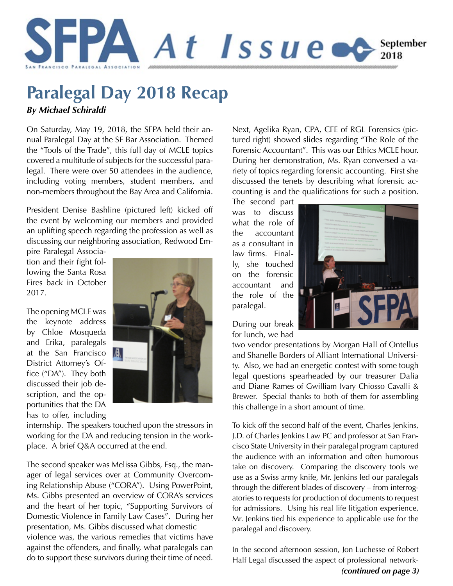

# **Paralegal Day 2018 Recap**

*By Michael Schiraldi*

On Saturday, May 19, 2018, the SFPA held their annual Paralegal Day at the SF Bar Association. Themed the "Tools of the Trade", this full day of MCLE topics covered a multitude of subjects for the successful paralegal. There were over 50 attendees in the audience, including voting members, student members, and non-members throughout the Bay Area and California.

President Denise Bashline (pictured left) kicked off the event by welcoming our members and provided an uplifting speech regarding the profession as well as discussing our neighboring association, Redwood Em-

pire Paralegal Association and their fight following the Santa Rosa Fires back in October 2017.

The opening MCLE was the keynote address by Chloe Mosqueda and Erika, paralegals at the San Francisco District Attorney's Office ("DA"). They both discussed their job description, and the opportunities that the DA has to offer, including



internship. The speakers touched upon the stressors in working for the DA and reducing tension in the workplace. A brief Q&A occurred at the end.

The second speaker was Melissa Gibbs, Esq., the manager of legal services over at Community Overcoming Relationship Abuse ("CORA"). Using PowerPoint, Ms. Gibbs presented an overview of CORA's services and the heart of her topic, "Supporting Survivors of Domestic Violence in Family Law Cases". During her presentation, Ms. Gibbs discussed what domestic violence was, the various remedies that victims have against the offenders, and finally, what paralegals can do to support these survivors during their time of need.

Next, Agelika Ryan, CPA, CFE of RGL Forensics (pictured right) showed slides regarding "The Role of the Forensic Accountant". This was our Ethics MCLE hour. During her demonstration, Ms. Ryan conversed a variety of topics regarding forensic accounting. First she discussed the tenets by describing what forensic accounting is and the qualifications for such a position.

The second part was to discuss what the role of the accountant as a consultant in law firms. Finally, she touched on the forensic accountant and the role of the paralegal.



During our break for lunch, we had

two vendor presentations by Morgan Hall of Ontellus and Shanelle Borders of Alliant International University. Also, we had an energetic contest with some tough legal questions spearheaded by our treasurer Dalia and Diane Rames of Gwilliam Ivary Chiosso Cavalli & Brewer. Special thanks to both of them for assembling this challenge in a short amount of time.

To kick off the second half of the event, Charles Jenkins, J.D. of Charles Jenkins Law PC and professor at San Francisco State University in their paralegal program captured the audience with an information and often humorous take on discovery. Comparing the discovery tools we use as a Swiss army knife, Mr. Jenkins led our paralegals through the different blades of discovery – from interrogatories to requests for production of documents to request for admissions. Using his real life litigation experience, Mr. Jenkins tied his experience to applicable use for the paralegal and discovery.

In the second afternoon session, Jon Luchesse of Robert Half Legal discussed the aspect of professional network- *(continued on page 3)*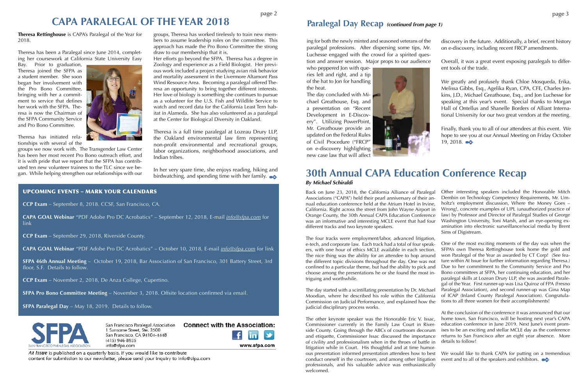**Theresa Rettinghouse** is CAPA's Paralegal of the Year for 2018.

Theresa has been a Paralegal since June 2014, completing her coursework at California State University Easy

Bay. Prior to graduation, Theresa joined the SFPA as a student member. She soon began her involvement with the Pro Bono Committee, bringing with her a commitment to service that defines her work with the SFPA. Theresa is now the Chairman of the SFPA Community Service and Pro Bono Committee.

Theresa has initiated relationships with several of the

groups we now work with. The Transgender Law Center has been her most recent Pro Bono outreach effort, and it is with pride that we report that the SFPA has contributed ten new volunteer trainees to the TLC since we began. While helping strengthen our relationships with our



The other keynote speaker was the Honorable Eric V. Issac, Commissioner currently in the Family Law Court in Riverside County. Going through the ABCs of courtroom decorum and etiquette, Commissioner Issac discussed the importance of civility and professionalism when in the throes of battle in litigation while in Court. His thoughtful and at time humorous presentation informed presentation attendees how to best conduct oneself in the courtroom, and among other litigation professionals, and his valuable advice was enthusiastically welcomed. At the conclusion of the conference it was announced that our home town, San Francisco, will be hosting next year's CAPA education conference in June 2019. Next June's event promises to be an exciting and stellar MCLE day as the conference returns to San Francisco after an eight year absence. More details to follow! We would like to thank CAPA for putting on a tremendous event and to all of the speakers and exhibitors.  $\bullet\bullet$ 

Back on June 23, 2018, the California Alliance of Paralegal Associations ("CAPA") held their pearl anniversary of their annual education conference held at the Atrium Hotel in Irvine, California. Right across the street from John Wayne Airport in Orange County, the 30th Annual CAPA Education Conference was an informative and interesting MCLE event that had four different tracks and two keynote speakers. Other interesting speakers included the Honorable Mitch Dembin on Technology Competency Requirements, Mr. Umholtz's employment discussion, Where the Money Goes – Wrong!, concrete examples of UPL (unauthorized practice of law) by Professor and Director of Paralegal Studies of George Washington University, Toni Marsh, and an eye-opening examination into electronic surveillance/social media by Brent Sims of Digistream.

judicial disciplinary process works.

The four tracks were employment/labor, advanced litigation, e-tech, and corporate law. Each track had a total of four speakers, with one hour of ethics MCLE available in each section. The nice thing was the ability for an attendee to hop around the different topic divisions throughout the day. One was not confined to a particular theme, but had the ability to pick and choose among the presentations he or she found the most intriguing and worthwhile. The day started with a scintillating presentation by Dr. Michael Moodian, where he described his role within the California Commission on Judicial Performance, and explained how the One of the most exciting moments of the day was when the SFPA's own Theresa Rettinghouse took home the gold and won Paralegal of the Year as awarded by CT Corp! (See feature within At Issue for further information regarding Theresa.) Due to her commitment to the Community Service and Pro Bono committees at SFPA, her continuing education, and her paralegal skills at Lozean Drury LLP, she was awarded Paralegal of the Year. First runner-up was Lisa Quiroz of FPA (Fresno Paralegal Association), and second runner-up was Gina Map of ICAP (Inland County Paralegal Association). Congratulations to all three women for their accomplishments!

In her very spare time, she enjoys reading, hiking and birdwatching, and spending time with her family.

The day concluded with Michael Greathouse, Esq. and a presentation on "Recent Development in E-Discovery". Utilizing PowerPoint, Mr. Greathouse provide an updated on the Federal Rules of Civil Procedure ("FRCP" on e-discovery highlighting new case law that will affect



Finally, thank you to all of our attendees at this event. We hope to see you at our Annual Meeting on Friday October 19, 2018.

groups, Theresa has worked tirelessly to train new members to assume leadership roles on the committee. This approach has made the Pro Bono Committee the strong draw to our membership that it is.

Her efforts go beyond the SFPA. Theresa has a degree in Zoology and experience as a Field Biologist. Her previous work included a project studying avian risk behavior and mortality assessment in the Livermore Altamont Pass Wind Resource Area. Becoming a paralegal offered Theresa an opportunity to bring together different interests. Her love of biology is something she continues to pursue as a volunteer for the U.S. Fish and Wildlife Service to watch and record data for the California Least Tern habitat in Alameda. She has also volunteered as a paralegal at the Center for Biological Diversity in Oakland.

Theresa is a full time paralegal at Lozeau Drury LLP, the Oakland environmental law firm representing non-profit environmental and recreational groups, labor organizations, neighborhood associations, and Indian tribes.

ing for both the newly minted and seasoned veterans of the paralegal professions. After dispersing some tips, Mr. Luchesse engaged with the crowd for a spirited question and answer session. Major props to our audience

who peppered Jon with queries left and right, and a tip of the hat to Jon for handling the heat.

discovery in the future. Additionally, a brief, recent history on e-discovery, including recent FRCP amendments.

Overall, it was a great event exposing paralegals to different tools of the trade.

We greatly and profusely thank Chloe Mosqueda, Erika, Melissa Gibbs, Esq., Agelika Ryan, CPA, CFE, Charles Jenkins, J.D., Michael Greathouse, Esq., and Jon Luchesse for speaking at this year's event. Special thanks to Morgan Hall of Ontellus and Shanelle Borders of Alliant International University for our two great vendors at the meeting.

# **CAPA PARALEGAL OF THE YEAR 2018 Paralegal Day Recap** *(continued from page 1)*

### **30th Annual CAPA Education Conference Recap** *By Michael Schiraldi*

### UPCOMING EVENTS – MARK YOUR CALENDARS

**CCP Exam** – September 8, 2018. CCSF, San Francisco, CA.

**CAPA GOAL Webinar** "PDF Adobe Pro DC Acrobatics" – September 12, 2018, E-mail *[info@sfpa](mailto:info%40sfpa.com?subject=CAPA%20Goal%20Webinar).com* for link

**CCP Exam** – September 29, 2018, Riverside County.

**CAPA GOAL Webinar** "PDF Adobe Pro DC Acrobatics" – October 10, 2018, E-mail *[info@sfp](mailto:info%40sfpa.com?subject=CAPA%20Goal%20Webinar)a.com* for link

**SFPA 46th Annual Meeting** – October 19, 2018, Bar Association of San Francisco, 301 Battery Street, 3rd floor, S.F. Details to follow.

**CCP Exam** – November 2, 2018, De Anza College, Cupertino.

**SFPA Pro Bono Committee Meeting** – November 3, 2018. Offsite location confirmed via email.

**SFPA Paralegal Day** – May 18, 2019. Details to follow.



San Francisco Paralegal Association 1 Sansome Street, Ste. 3500 San Francisco, CA 94104-4448  $(415)$  946-8935 info@sfpa.com



www.sfpa.com

At Issue is published on a quarterly basis. If you would like to contribute content for submission to our newsletter, please send your inquiry to info@sfpa.com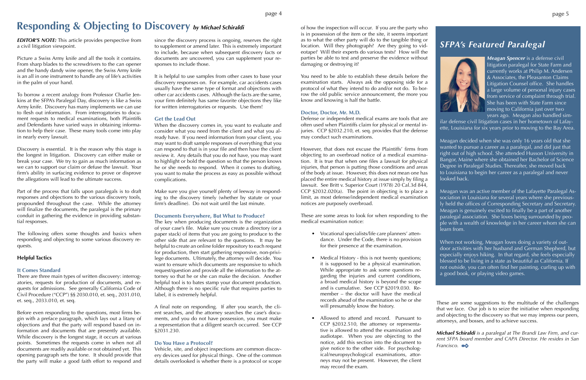*EDITOR'S NOTE:* This article provides perspective from a civil litigation viewpoint.

Picture a Swiss Army knife and all the tools it contains. From sharp blades to the screwdrivers to the can opener and the handy dandy wine opener, the Swiss Army knife is an all in one instrument to handle any of life's activities in the palm of your hand.

To borrow a recent analogy from Professor Charlie Jenkins at the SFPA's Paralegal Day, discovery is like a Swiss Army knife. Discovery has many implements we can use to flesh out information. From interrogatories to document requests to medical examinations, both Plaintiffs and Defendants have varied ways in obtaining information to help their case. These many tools come into play in nearly every lawsuit.

Discovery is essential. It is the reason why this stage is the longest in litigation. Discovery can either make or break your case. We try to gain as much information as we can to support our claim or defuse the lawsuit. Your firm's ability in surfacing evidence to prove or disprove the allegations will lead to the ultimate success.

Part of the process that falls upon paralegals is to draft responses and objections to the various discovery tools, propounded throughout the case. While the attorney will finalize the documents, the paralegal is the primary conduit in gathering the evidence in providing substantial responses.

The following offers some thoughts and basics when responding and objecting to some various discovery requests.

#### **Helpful Tactics**

#### **It Comes Standard**

There are three main types of written discovery: interrogatories, requests for production of documents, and requests for admissions. See generally California Code of Civil Procedure ("CCP") §§ 2030.010, et. seq., 2031.010, et. seq., 2033.010, et. seq.

Before even responding to the questions, most firms begin with a preface paragraph, which lays out a litany of objections and that the party will respond based on information and documents that are presently available. While discovery is the longest stage, it occurs at various points. Sometimes the requests come in when not all documents are readily available or not obtained yet. This opening paragraph sets the tone. It should provide that the party will make a good faith effort to respond and

since the discovery process is ongoing, reserves the right to supplement or amend later. This is extremely important to include, because when subsequent discovery facts or documents are uncovered, you can supplement your responses to include those.

It is helpful to use samples from other cases to base your discovery responses on. For example, car accidents cases usually have the same type of format and objections with other car accidents cases. Although the facts are the same, your firm definitely has same favorite objections they like for written interrogatories or requests. Use them!

#### **Get the Lead Out**

When the discovery comes in, you want to evaluate and consider what you need from the client and what you already have. If you need information from your client, you may want to draft sample responses of everything that you can respond to that is in your file and then have the client review it. Any details that you do not have, you may want to highlight or bold the question so that the person knows he or she needs to respond. When it comes to drafting, you want to make the process as easy as possible without complications.

Make sure you give yourself plenty of leeway in responding to the discovery timely (whether by statute or your firm's deadline). Do not wait until the last minute.

#### **Documents Everywhere, But What to Produce?**

The key when producing documents is the organization of your case's file. Make sure you create a directory (or a paper stack) of items that you are going to produce to the other side that are relevant to the questions. It may be helpful to create an online folder repository to each request for production, then start gathering responsive, non-privilege documents. Ultimately, the attorney will decide. You want to ensure which documents are responsive to which request/question and provide all the information to the attorney so that he or she can make the decision. Another helpful tool is to bates stamp your document production. Although there is no specific rule that requires parties to label, it is extremely helpful.

A final note on responding. If after you search, the client searches, and the attorney searches the case's documents, and you do not have possession, you must make a representation that a diligent search occurred. See CCP §2031.230.

#### **Do You Have a Protocol?**

Vehicle, site, and object inspections are common discovery devices used for physical things. One of the common details overlooked is whether there is a protocol or scope

## *SFPA's Featured Paralegal*



*Meagan Spencer* is a defense civil litigation paralegal for State Farm and currently works at Philip M. Andersen & Associates, the Pleasanton Claims Litigation Counsel office. She handles a large volume of personal injury cases from service of complaint through trial. She has been with State Farm since moving to California just over two years ago. Meagan also handled sim-

ilar defense civil litigation cases in her hometown of Lafayette, Louisiana for six years prior to moving to the Bay Area.

Meagan decided when she was only 16 years old that she wanted to pursue a career as a paralegal, and did just that right out of high school. She attended Husson University in Bangor, Maine where she obtained her Bachelor of Science Degree in Paralegal Studies. Thereafter, she moved back to Louisiana to begin her career as a paralegal and never looked back.

Meagan was an active member of the Lafayette Paralegal Association in Louisiana for several years where she previously held the offices of Corresponding Secretary and Secretary. Meagan is genuinely excited to finally be a part of another paralegal association. She loves being surrounded by people with a wealth of knowledge in her career whom she can learn from.

When not working, Meagan loves doing a variety of outdoor activities with her husband and German Shepherd, but especially enjoys hiking. In that regard, she feels especially blessed to be living in a state as beautiful as California. If not outside, you can often find her painting, curling up with a good book, or playing video games.

of how the inspection will occur. If you are the party who is in possession of the item or the site, it seems important as to what the other party will do to the tangible thing or location. Will they photograph? Are they going to videotape? Will their experts do various tests? How will the parties be able to test and preserve the evidence without damaging or destroying it?

You need to be able to establish these details before the examination starts. Always ask the opposing side for a protocol of what they intend to do and/or not do. To borrow the old public service announcement, the more you know and knowing is half the battle.

#### **Doctor, Doctor, Mr. M.D.**

Defense or independent medical exams are tools that are often used when Plaintiffs claim for physical or mental injuries. CCP §2032.210, et. seq. provides that the defense may conduct such examinations.

However, that does not excuse the Plaintiffs' firms from objecting to an overbroad notice of a medical examination. It is true that when one files a lawsuit for physical injuries, that person is putting those conditions and areas of the body at issue. However, this does not mean one has placed the entire medical history at issue simply by filing a lawsuit. See Britt v. Superior Court (1978) 20 Cal.3d 844, CCP §2032.020(a). The point in objecting is to place a limit, as most defense/independent medical examination notices are purposely overbroad.

These are some areas to look for when responding to the medical examination notice:

- Vocational specialists/life care planners' attendance. Under the Code, there is no provision for their presence at the examination.
- Medical History this is not twenty questions; it is supposed to be a physical examination. While appropriate to ask some questions regarding the injuries and current conditions, a broad medical history is beyond the scope and is cumulative. See CCP §2019.030. Remember – the doctor will have the medical records ahead of the examination so he or she will presumably know the history.
- Allowed to attend and record. Pursuant to CCP §2032.510, the attorney or representative is allowed to attend the examination and audiotape. When you are objecting to the notice, add this section into the document to give notice to the other side. For psychological/neuropsychological examinations, attorneys may not be present. However, the client may record the exam.

These are some suggestions to the multitude of the challenges that we face. Our job is to seize the initiative when responding and objecting to the discovery so that we may impress our peers, attorneys, and bosses, and to achieve success.

*Michael Schiraldi is a paralegal at The Brandi Law Firm, and current SFPA board member and CAPA Director. He resides in San Francisco.*

# **Responding & Objecting to Discovery** *by Michael Schiraldi*